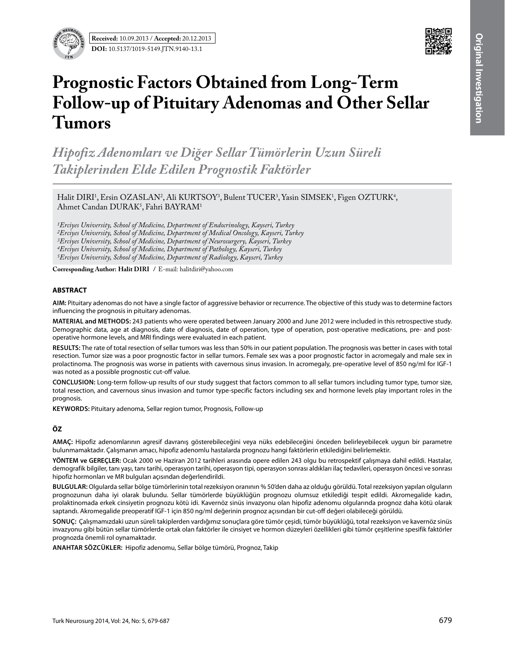



# **Prognostic Factors Obtained from Long-Term Follow-up of Pituitary Adenomas and Other Sellar Tumors**

*Hipofiz Adenomları ve Diğer Sellar Tümörlerin Uzun Süreli Takiplerinden Elde Edilen Prognostik Faktörler*

Halit DIRI<sup>1</sup>, Ersin OZASLAN<sup>2</sup>, Ali KURTSOY<sup>3</sup>, Bulent TUCER<sup>3</sup>, Yasin SIMSEK<sup>1</sup>, Figen OZTURK<sup>4</sup>,  $A$ hmet Candan  $DURAK^5$ , Fahri BAYR $AM^1$ 

*1Erciyes University, School of Medicine, Department of Endocrinology, Kayseri, Turkey 2Erciyes University, School of Medicine, Department of Medical Oncology, Kayseri, Turkey 3Erciyes University, School of Medicine, Department of Neurosurgery, Kayseri, Turkey 4Erciyes University, School of Medicine, Department of Pathology, Kayseri, Turkey 5Erciyes University, School of Medicine, Department of Radiology, Kayseri, Turkey*

**Corresponding Author: Halit DIRI /** E-mail: halitdiri@yahoo.com

#### **ABSTRACT**

**AIm:** Pituitary adenomas do not have a single factor of aggressive behavior or recurrence. The objective of this study was to determine factors influencing the prognosis in pituitary adenomas.

**MaterIal and Methods:** 243 patients who were operated between January 2000 and June 2012 were included in this retrospective study. Demographic data, age at diagnosis, date of diagnosis, date of operation, type of operation, post-operative medications, pre- and postoperative hormone levels, and MRI findings were evaluated in each patient.

**Results:** The rate of total resection of sellar tumors was less than 50% in our patient population. The prognosis was better in cases with total resection. Tumor size was a poor prognostic factor in sellar tumors. Female sex was a poor prognostic factor in acromegaly and male sex in prolactinoma. The prognosis was worse in patients with cavernous sinus invasion. In acromegaly, pre-operative level of 850 ng/ml for IGF-1 was noted as a possible prognostic cut-off value.

**ConclusIon:** Long-term follow-up results of our study suggest that factors common to all sellar tumors including tumor type, tumor size, total resection, and cavernous sinus invasion and tumor type-specific factors including sex and hormone levels play important roles in the prognosis.

**Keywords:** Pituitary adenoma, Sellar region tumor, Prognosis, Follow-up

## **ÖZ**

**AMAÇ:** Hipofiz adenomlarının agresif davranış gösterebileceğini veya nüks edebileceğini önceden belirleyebilecek uygun bir parametre bulunmamaktadır. Çalışmanın amacı, hipofiz adenomlu hastalarda prognozu hangi faktörlerin etkilediğini belirlemektir.

**YÖNTEM ve GEREÇLER:** Ocak 2000 ve Haziran 2012 tarihleri arasında opere edilen 243 olgu bu retrospektif çalışmaya dahil edildi. Hastalar, demografik bilgiler, tanı yaşı, tanı tarihi, operasyon tarihi, operasyon tipi, operasyon sonrası aldıkları ilaç tedavileri, operasyon öncesi ve sonrası hipofiz hormonları ve MR bulguları açısından değerlendirildi.

**BULGULAR:** Olgularda sellar bölge tümörlerinin total rezeksiyon oranının % 50'den daha az olduğu görüldü. Total rezeksiyon yapılan olguların prognozunun daha iyi olarak bulundu. Sellar tümörlerde büyüklüğün prognozu olumsuz etkilediği tespit edildi. Akromegalide kadın, prolaktinomada erkek cinsiyetin prognozu kötü idi. Kavernöz sinüs invazyonu olan hipofiz adenomu olgularında prognoz daha kötü olarak saptandı. Akromegalide preoperatif IGF-1 için 850 ng/ml değerinin prognoz açısından bir cut-off değeri olabileceği görüldü.

**SONUÇ:** Çalışmamızdaki uzun süreli takiplerden vardığımız sonuçlara göre tümör çeşidi, tümör büyüklüğü, total rezeksiyon ve kavernöz sinüs invazyonu gibi bütün sellar tümörlerde ortak olan faktörler ile cinsiyet ve hormon düzeyleri özellikleri gibi tümör çeşitlerine spesifik faktörler prognozda önemli rol oynamaktadır.

**ANAHTAR SÖZCÜKLER:** Hipofiz adenomu, Sellar bölge tümörü, Prognoz, Takip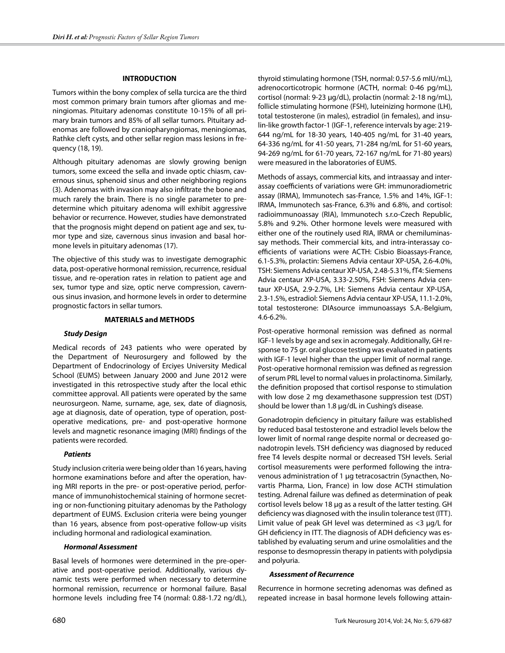## **INTRODUCTION**

Tumors within the bony complex of sella turcica are the third most common primary brain tumors after gliomas and meningiomas. Pituitary adenomas constitute 10-15% of all primary brain tumors and 85% of all sellar tumors. Pituitary adenomas are followed by craniopharyngiomas, meningiomas, Rathke cleft cysts, and other sellar region mass lesions in frequency (18, 19).

Although pituitary adenomas are slowly growing benign tumors, some exceed the sella and invade optic chiasm, cavernous sinus, sphenoid sinus and other neighboring regions (3). Adenomas with invasion may also infiltrate the bone and much rarely the brain. There is no single parameter to predetermine which pituitary adenoma will exhibit aggressive behavior or recurrence. However, studies have demonstrated that the prognosis might depend on patient age and sex, tumor type and size, cavernous sinus invasion and basal hormone levels in pituitary adenomas (17).

The objective of this study was to investigate demographic data, post-operative hormonal remission, recurrence, residual tissue, and re-operation rates in relation to patient age and sex, tumor type and size, optic nerve compression, cavernous sinus invasion, and hormone levels in order to determine prognostic factors in sellar tumors.

### **MATERIALS and METHODS**

#### *Study Design*

Medical records of 243 patients who were operated by the Department of Neurosurgery and followed by the Department of Endocrinology of Erciyes University Medical School (EUMS) between January 2000 and June 2012 were investigated in this retrospective study after the local ethic committee approval. All patients were operated by the same neurosurgeon. Name, surname, age, sex, date of diagnosis, age at diagnosis, date of operation, type of operation, postoperative medications, pre- and post-operative hormone levels and magnetic resonance imaging (MRI) findings of the patients were recorded.

#### *Patients*

Study inclusion criteria were being older than 16 years, having hormone examinations before and after the operation, having MRI reports in the pre- or post-operative period, performance of immunohistochemical staining of hormone secreting or non-functioning pituitary adenomas by the Pathology department of EUMS. Exclusion criteria were being younger than 16 years, absence from post-operative follow-up visits including hormonal and radiological examination.

#### *Hormonal Assessment*

Basal levels of hormones were determined in the pre-operative and post-operative period. Additionally, various dynamic tests were performed when necessary to determine hormonal remission, recurrence or hormonal failure. Basal hormone levels including free T4 (normal: 0.88-1.72 ng/dL),

thyroid stimulating hormone (TSH, normal: 0.57-5.6 mIU/mL), adrenocorticotropic hormone (ACTH, normal: 0-46 pg/mL), cortisol (normal: 9-23 μg/dL), prolactin (normal: 2-18 ng/mL), follicle stimulating hormone (FSH), luteinizing hormone (LH), total testosterone (in males), estradiol (in females), and insulin-like growth factor-1 (IGF-1, reference intervals by age: 219- 644 ng/mL for 18-30 years, 140-405 ng/mL for 31-40 years, 64-336 ng/mL for 41-50 years, 71-284 ng/mL for 51-60 years, 94-269 ng/mL for 61-70 years, 72-167 ng/mL for 71-80 years) were measured in the laboratories of EUMS.

Methods of assays, commercial kits, and intraassay and interassay coefficients of variations were GH: immunoradiometric assay (IRMA), Immunotech sas-France, 1.5% and 14%, IGF-1: IRMA, Immunotech sas-France, 6.3% and 6.8%, and cortisol: radioimmunoassay (RIA), Immunotech s.r.o-Czech Republic, 5.8% and 9.2%. Other hormone levels were measured with either one of the routinely used RIA, IRMA or chemiluminassay methods. Their commercial kits, and intra-interassay coefficients of variations were ACTH: Cisbio Bioassays-France, 6.1-5.3%, prolactin: Siemens Advia centaur XP-USA, 2.6-4.0%, TSH: Siemens Advia centaur XP-USA, 2.48-5.31%, fT4: Siemens Advia centaur XP-USA, 3.33-2.50%, FSH: Siemens Advia centaur XP-USA, 2.9-2.7%, LH: Siemens Advia centaur XP-USA, 2.3-1.5%, estradiol: Siemens Advia centaur XP-USA, 11.1-2.0%, total testosterone: DIAsource immunoassays S.A.-Belgium, 4.6-6.2%.

Post-operative hormonal remission was defined as normal IGF-1 levels by age and sex in acromegaly. Additionally, GH response to 75 gr. oral glucose testing was evaluated in patients with IGF-1 level higher than the upper limit of normal range. Post-operative hormonal remission was defined as regression of serum PRL level to normal values in prolactinoma. Similarly, the definition proposed that cortisol response to stimulation with low dose 2 mg dexamethasone suppression test (DST) should be lower than 1.8 μg/dL in Cushing's disease.

Gonadotropin deficiency in pituitary failure was established by reduced basal testosterone and estradiol levels below the lower limit of normal range despite normal or decreased gonadotropin levels. TSH deficiency was diagnosed by reduced free T4 levels despite normal or decreased TSH levels. Serial cortisol measurements were performed following the intravenous administration of 1 μg tetracosactrin (Synacthen, Novartis Pharma, Lion, France) in low dose ACTH stimulation testing. Adrenal failure was defined as determination of peak cortisol levels below 18 μg as a result of the latter testing. GH deficiency was diagnosed with the insulin tolerance test (ITT). Limit value of peak GH level was determined as <3 μg/L for GH deficiency in ITT. The diagnosis of ADH deficiency was established by evaluating serum and urine osmolalities and the response to desmopressin therapy in patients with polydipsia and polyuria.

## *Assessment of Recurrence*

Recurrence in hormone secreting adenomas was defined as repeated increase in basal hormone levels following attain-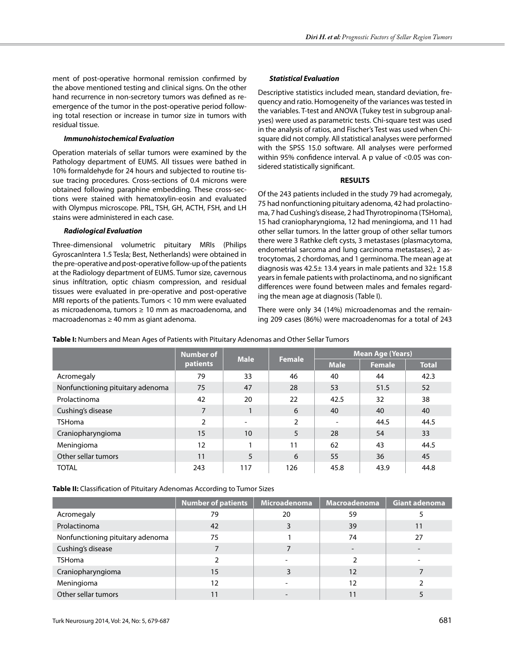ment of post-operative hormonal remission confirmed by the above mentioned testing and clinical signs. On the other hand recurrence in non-secretory tumors was defined as reemergence of the tumor in the post-operative period following total resection or increase in tumor size in tumors with residual tissue.

## *Immunohistochemical Evaluation*

Operation materials of sellar tumors were examined by the Pathology department of EUMS. All tissues were bathed in 10% formaldehyde for 24 hours and subjected to routine tissue tracing procedures. Cross-sections of 0.4 microns were obtained following paraphine embedding. These cross-sections were stained with hematoxylin-eosin and evaluated with Olympus microscope. PRL, TSH, GH, ACTH, FSH, and LH stains were administered in each case.

## *Radiological Evaluation*

Three-dimensional volumetric pituitary MRIs (Philips GyroscanIntera 1.5 Tesla; Best, Netherlands) were obtained in the pre-operative and post-operative follow-up of the patients at the Radiology department of EUMS. Tumor size, cavernous sinus infiltration, optic chiasm compression, and residual tissues were evaluated in pre-operative and post-operative MRI reports of the patients. Tumors < 10 mm were evaluated as microadenoma, tumors  $\geq 10$  mm as macroadenoma, and macroadenomas ≥ 40 mm as giant adenoma.

# *Statistical Evaluation*

Descriptive statistics included mean, standard deviation, frequency and ratio. Homogeneity of the variances was tested in the variables. T-test and ANOVA (Tukey test in subgroup analyses) were used as parametric tests. Chi-square test was used in the analysis of ratios, and Fischer's Test was used when Chisquare did not comply. All statistical analyses were performed with the SPSS 15.0 software. All analyses were performed within 95% confidence interval. A p value of <0.05 was considered statistically significant.

## **RESULTS**

Of the 243 patients included in the study 79 had acromegaly, 75 had nonfunctioning pituitary adenoma, 42 had prolactinoma, 7 had Cushing's disease, 2 had Thyrotropinoma (TSHoma), 15 had craniopharyngioma, 12 had meningioma, and 11 had other sellar tumors. In the latter group of other sellar tumors there were 3 Rathke cleft cysts, 3 metastases (plasmacytoma, endometrial sarcoma and lung carcinoma metastases), 2 astrocytomas, 2 chordomas, and 1 germinoma. The mean age at diagnosis was  $42.5 \pm 13.4$  years in male patients and  $32 \pm 15.8$ years in female patients with prolactinoma, and no significant differences were found between males and females regarding the mean age at diagnosis (Table I).

There were only 34 (14%) microadenomas and the remaining 209 cases (86%) were macroadenomas for a total of 243

|                                  | Number of | <b>Male</b><br><b>Female</b> |     | <b>Mean Age (Years)</b>  |               |              |
|----------------------------------|-----------|------------------------------|-----|--------------------------|---------------|--------------|
|                                  | patients  |                              |     | <b>Male</b>              | <b>Female</b> | <b>Total</b> |
| Acromegaly                       | 79        | 33                           | 46  | 40                       | 44            | 42.3         |
| Nonfunctioning pituitary adenoma | 75        | 47                           | 28  | 53                       | 51.5          | 52           |
| Prolactinoma                     | 42        | 20                           | 22  | 42.5                     | 32            | 38           |
| Cushing's disease                | 7         | 1                            | 6   | 40                       | 40            | 40           |
| <b>TSHoma</b>                    | 2         | ۰                            | 2   | $\overline{\phantom{a}}$ | 44.5          | 44.5         |
| Craniopharyngioma                | 15        | 10                           | 5   | 28                       | 54            | 33           |
| Meningioma                       | 12        |                              | 11  | 62                       | 43            | 44.5         |
| Other sellar tumors              | 11        | 5                            | 6   | 55                       | 36            | 45           |
| <b>TOTAL</b>                     | 243       | 117                          | 126 | 45.8                     | 43.9          | 44.8         |

**Table I:** Numbers and Mean Ages of Patients with Pituitary Adenomas and Other Sellar Tumors

**Table II:** Classification of Pituitary Adenomas According to Tumor Sizes

|                                  | <b>Number of patients</b> | Microadenoma | Macroadenoma | Giant adenoma |
|----------------------------------|---------------------------|--------------|--------------|---------------|
| Acromegaly                       | 79                        | 20           | 59           |               |
| Prolactinoma                     | 42                        |              | 39           | 11            |
| Nonfunctioning pituitary adenoma | 75                        |              | 74           | 27            |
| Cushing's disease                |                           |              |              |               |
| <b>TSHoma</b>                    |                           |              |              |               |
| Craniopharyngioma                | 15                        |              | 12           |               |
| Meningioma                       | 12                        |              | 12           |               |
| Other sellar tumors              | 11                        |              |              |               |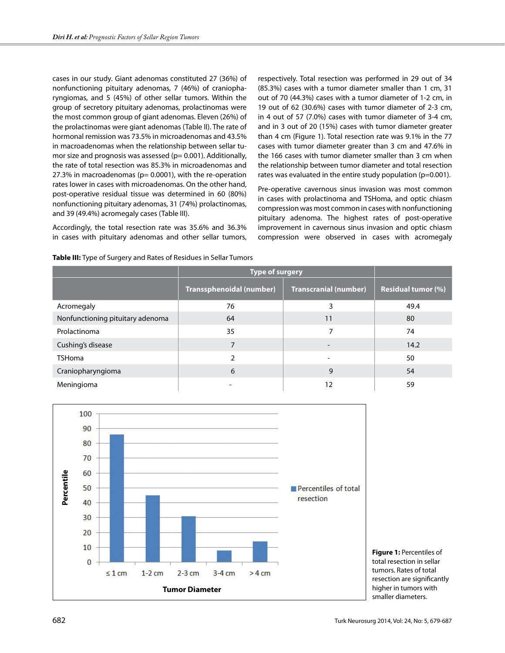cases in our study. Giant adenomas constituted 27 (36%) of nonfunctioning pituitary adenomas, 7 (46%) of craniopharyngiomas, and 5 (45%) of other sellar tumors. Within the group of secretory pituitary adenomas, prolactinomas were the most common group of giant adenomas. Eleven (26%) of the prolactinomas were giant adenomas (Table II). The rate of hormonal remission was 73.5% in microadenomas and 43.5% in macroadenomas when the relationship between sellar tumor size and prognosis was assessed ( $p= 0.001$ ). Additionally, the rate of total resection was 85.3% in microadenomas and 27.3% in macroadenomas ( $p= 0.0001$ ), with the re-operation rates lower in cases with microadenomas. On the other hand, post-operative residual tissue was determined in 60 (80%) nonfunctioning pituitary adenomas, 31 (74%) prolactinomas, and 39 (49.4%) acromegaly cases (Table III).

Accordingly, the total resection rate was 35.6% and 36.3% in cases with pituitary adenomas and other sellar tumors, respectively. Total resection was performed in 29 out of 34 (85.3%) cases with a tumor diameter smaller than 1 cm, 31 out of 70 (44.3%) cases with a tumor diameter of 1-2 cm, in 19 out of 62 (30.6%) cases with tumor diameter of 2-3 cm, in 4 out of 57 (7.0%) cases with tumor diameter of 3-4 cm, and in 3 out of 20 (15%) cases with tumor diameter greater than 4 cm (Figure 1). Total resection rate was 9.1% in the 77 cases with tumor diameter greater than 3 cm and 47.6% in the 166 cases with tumor diameter smaller than 3 cm when the relationship between tumor diameter and total resection rates was evaluated in the entire study population (p=0.001).

Pre-operative cavernous sinus invasion was most common in cases with prolactinoma and TSHoma, and optic chiasm compression was most common in cases with nonfunctioning pituitary adenoma. The highest rates of post-operative improvement in cavernous sinus invasion and optic chiasm compression were observed in cases with acromegaly

|                                  | <b>Type of surgery</b>   |                              |                           |
|----------------------------------|--------------------------|------------------------------|---------------------------|
|                                  | Transsphenoidal (number) | <b>Transcranial (number)</b> | <b>Residual tumor (%)</b> |
| Acromegaly                       | 76                       | 3                            | 49.4                      |
| Nonfunctioning pituitary adenoma | 64                       | 11                           | 80                        |
| Prolactinoma                     | 35                       | 7                            | 74                        |
| Cushing's disease                | 7                        |                              | 14.2                      |
| <b>TSHoma</b>                    | 2                        |                              | 50                        |
| Craniopharyngioma                | 6                        | 9                            | 54                        |
| Meningioma                       |                          | 12                           | 59                        |



**Figure 1:** Percentiles of total resection in sellar tumors. Rates of total resection are significantly higher in tumors with smaller diameters.

#### **Table III:** Type of Surgery and Rates of Residues in Sellar Tumors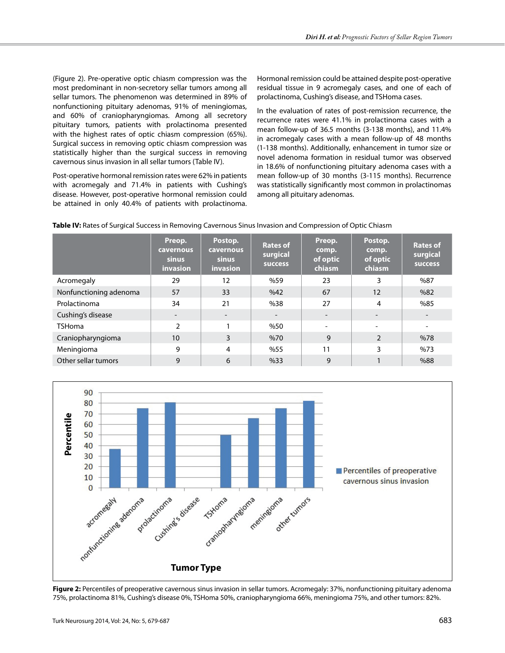(Figure 2). Pre-operative optic chiasm compression was the most predominant in non-secretory sellar tumors among all sellar tumors. The phenomenon was determined in 89% of nonfunctioning pituitary adenomas, 91% of meningiomas, and 60% of craniopharyngiomas. Among all secretory pituitary tumors, patients with prolactinoma presented with the highest rates of optic chiasm compression (65%). Surgical success in removing optic chiasm compression was statistically higher than the surgical success in removing cavernous sinus invasion in all sellar tumors (Table IV).

Post-operative hormonal remission rates were 62% in patients with acromegaly and 71.4% in patients with Cushing's disease. However, post-operative hormonal remission could be attained in only 40.4% of patients with prolactinoma. Hormonal remission could be attained despite post-operative residual tissue in 9 acromegaly cases, and one of each of prolactinoma, Cushing's disease, and TSHoma cases.

In the evaluation of rates of post-remission recurrence, the recurrence rates were 41.1% in prolactinoma cases with a mean follow-up of 36.5 months (3-138 months), and 11.4% in acromegaly cases with a mean follow-up of 48 months (1-138 months). Additionally, enhancement in tumor size or novel adenoma formation in residual tumor was observed in 18.6% of nonfunctioning pituitary adenoma cases with a mean follow-up of 30 months (3-115 months). Recurrence was statistically significantly most common in prolactinomas among all pituitary adenomas.

|                        | Preop.<br><b>cavernous</b><br>sinus<br>invasion | Postop.<br><b>cavernous</b><br><b>sinus</b><br><b>invasion</b> | <b>Rates of</b><br>surgical<br><b>SUCCESS</b> | Preop.<br>comp.<br>of optic<br>chiasm | Postop.<br>comp.<br>of optic<br>chiasm | <b>Rates of</b><br>surgical<br><b>success</b> |
|------------------------|-------------------------------------------------|----------------------------------------------------------------|-----------------------------------------------|---------------------------------------|----------------------------------------|-----------------------------------------------|
| Acromegaly             | 29                                              | 12                                                             | %59                                           | 23                                    | 3                                      | %87                                           |
| Nonfunctioning adenoma | 57                                              | 33                                                             | %42                                           | 67                                    | 12                                     | %82                                           |
| Prolactinoma           | 34                                              | 21                                                             | %38                                           | 27                                    | 4                                      | %85                                           |
| Cushing's disease      | -                                               | $\overline{\phantom{a}}$                                       |                                               | $\qquad \qquad$                       | -                                      |                                               |
| <b>TSHoma</b>          | $\mathfrak{p}$                                  |                                                                | %50                                           | ۰                                     | ۰                                      |                                               |
| Craniopharyngioma      | 10                                              | 3                                                              | %70                                           | 9                                     | $\mathfrak{D}$                         | %78                                           |
| Meningioma             | 9                                               | 4                                                              | %55                                           | 11                                    | 3                                      | %73                                           |
| Other sellar tumors    | 9                                               | 6                                                              | %33                                           | 9                                     |                                        | %88                                           |



**Figure 2:** Percentiles of preoperative cavernous sinus invasion in sellar tumors. Acromegaly: 37%, nonfunctioning pituitary adenoma 75%, prolactinoma 81%, Cushing's disease 0%, TSHoma 50%, craniopharyngioma 66%, meningioma 75%, and other tumors: 82%.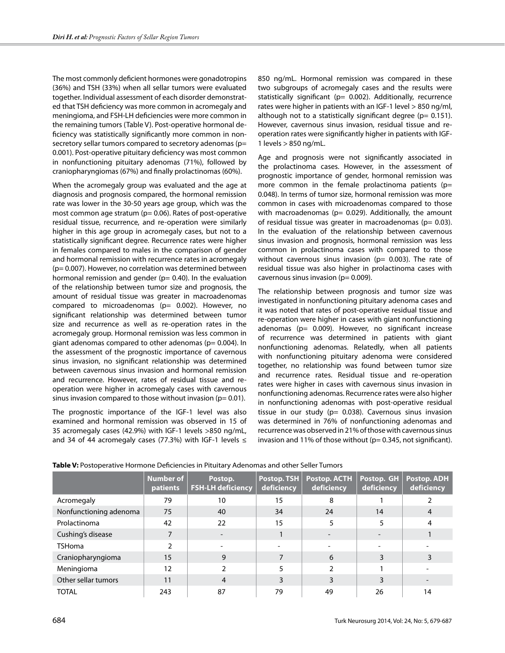The most commonly deficient hormones were gonadotropins (36%) and TSH (33%) when all sellar tumors were evaluated together. Individual assessment of each disorder demonstrated that TSH deficiency was more common in acromegaly and meningioma, and FSH-LH deficiencies were more common in the remaining tumors (Table V). Post-operative hormonal deficiency was statistically significantly more common in nonsecretory sellar tumors compared to secretory adenomas (p= 0.001). Post-operative pituitary deficiency was most common in nonfunctioning pituitary adenomas (71%), followed by craniopharyngiomas (67%) and finally prolactinomas (60%).

When the acromegaly group was evaluated and the age at diagnosis and prognosis compared, the hormonal remission rate was lower in the 30-50 years age group, which was the most common age stratum ( $p= 0.06$ ). Rates of post-operative residual tissue, recurrence, and re-operation were similarly higher in this age group in acromegaly cases, but not to a statistically significant degree. Recurrence rates were higher in females compared to males in the comparison of gender and hormonal remission with recurrence rates in acromegaly (p= 0.007). However, no correlation was determined between hormonal remission and gender ( $p= 0.40$ ). In the evaluation of the relationship between tumor size and prognosis, the amount of residual tissue was greater in macroadenomas compared to microadenomas (p= 0.002). However, no significant relationship was determined between tumor size and recurrence as well as re-operation rates in the acromegaly group. Hormonal remission was less common in giant adenomas compared to other adenomas ( $p= 0.004$ ). In the assessment of the prognostic importance of cavernous sinus invasion, no significant relationship was determined between cavernous sinus invasion and hormonal remission and recurrence. However, rates of residual tissue and reoperation were higher in acromegaly cases with cavernous sinus invasion compared to those without invasion ( $p= 0.01$ ).

The prognostic importance of the IGF-1 level was also examined and hormonal remission was observed in 15 of 35 acromegaly cases (42.9%) with IGF-1 levels >850 ng/mL, and 34 of 44 acromegaly cases (77.3%) with IGF-1 levels  $\leq$  850 ng/mL. Hormonal remission was compared in these two subgroups of acromegaly cases and the results were statistically significant (p= 0.002). Additionally, recurrence rates were higher in patients with an IGF-1 level > 850 ng/ml, although not to a statistically significant degree ( $p= 0.151$ ). However, cavernous sinus invasion, residual tissue and reoperation rates were significantly higher in patients with IGF-1 levels > 850 ng/mL.

Age and prognosis were not significantly associated in the prolactinoma cases. However, in the assessment of prognostic importance of gender, hormonal remission was more common in the female prolactinoma patients ( $p=$ 0.048). In terms of tumor size, hormonal remission was more common in cases with microadenomas compared to those with macroadenomas ( $p= 0.029$ ). Additionally, the amount of residual tissue was greater in macroadenomas ( $p= 0.03$ ). In the evaluation of the relationship between cavernous sinus invasion and prognosis, hormonal remission was less common in prolactinoma cases with compared to those without cavernous sinus invasion ( $p= 0.003$ ). The rate of residual tissue was also higher in prolactinoma cases with cavernous sinus invasion ( $p= 0.009$ ).

The relationship between prognosis and tumor size was investigated in nonfunctioning pituitary adenoma cases and it was noted that rates of post-operative residual tissue and re-operation were higher in cases with giant nonfunctioning adenomas (p= 0.009). However, no significant increase of recurrence was determined in patients with giant nonfunctioning adenomas. Relatedly, when all patients with nonfunctioning pituitary adenoma were considered together, no relationship was found between tumor size and recurrence rates. Residual tissue and re-operation rates were higher in cases with cavernous sinus invasion in nonfunctioning adenomas. Recurrence rates were also higher in nonfunctioning adenomas with post-operative residual tissue in our study ( $p= 0.038$ ). Cavernous sinus invasion was determined in 76% of nonfunctioning adenomas and recurrence was observed in 21% of those with cavernous sinus invasion and 11% of those without ( $p= 0.345$ , not significant).

|                        | Number of<br><b>patients</b> | Postop.<br><b>FSH-LH deficiency</b> | Postop. TSH<br>deficiency | <b>Postop. ACTH</b><br>deficiency | Postop. GH<br>deficiency | Postop. ADH<br>deficiency |
|------------------------|------------------------------|-------------------------------------|---------------------------|-----------------------------------|--------------------------|---------------------------|
| Acromegaly             | 79                           | 10                                  | 15                        | 8                                 |                          |                           |
| Nonfunctioning adenoma | 75                           | 40                                  | 34                        | 24                                | 14                       |                           |
| Prolactinoma           | 42                           | 22                                  | 15                        |                                   |                          |                           |
| Cushing's disease      | 7                            |                                     |                           |                                   |                          |                           |
| <b>TSHoma</b>          |                              |                                     | $\overline{\phantom{a}}$  |                                   |                          |                           |
| Craniopharyngioma      | 15                           | 9                                   |                           | 6                                 |                          | 3                         |
| Meningioma             | 12                           |                                     |                           |                                   |                          |                           |
| Other sellar tumors    | 11                           | 4                                   |                           | 3                                 |                          |                           |
| <b>TOTAL</b>           | 243                          | 87                                  | 79                        | 49                                | 26                       | 14                        |

**Table V:** Postoperative Hormone Deficiencies in Pituitary Adenomas and other Seller Tumors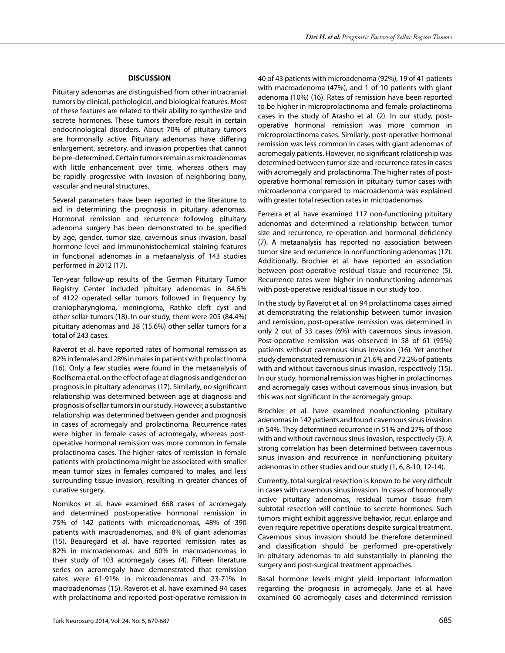### **DISCUSSION**

Pituitary adenomas are distinguished from other intracranial tumors by clinical, pathological, and biological features. Most of these features are related to their ability to synthesize and secrete hormones. These tumors therefore result in certain endocrinological disorders. About 70% of pituitary tumors are hormonally active. Pituitary adenomas have differing enlargement, secretory, and invasion properties that cannot be pre-determined. Certain tumors remain as microadenomas with little enhancement over time, whereas others may be rapidly progressive with invasion of neighboring bony, vascular and neural structures.

Several parameters have been reported in the literature to aid in determining the prognosis in pituitary adenomas. Hormonal remission and recurrence following pituitary adenoma surgery has been demonstrated to be specified by age, gender, tumor size, cavernous sinus invasion, basal hormone level and immunohistochemical staining features in functional adenomas in a metaanalysis of 143 studies performed in 2012 (17).

Ten-year follow-up results of the German Pituitary Tumor Registry Center included pituitary adenomas in 84.6% of 4122 operated sellar tumors followed in frequency by craniopharyngioma, meningioma, Rathke cleft cyst and other sellar tumors (18). In our study, there were 205 (84.4%) pituitary adenomas and 38 (15.6%) other sellar tumors for a total of 243 cases.

Raverot et al. have reported rates of hormonal remission as 82% in females and 28% in males in patients with prolactinoma (16). Only a few studies were found in the metaanalysis of Roelfsema et al. on the effect of age at diagnosis and gender on prognosis in pituitary adenomas (17). Similarly, no significant relationship was determined between age at diagnosis and prognosis of sellar tumors in our study. However, a substantive relationship was determined between gender and prognosis in cases of acromegaly and prolactinoma. Recurrence rates were higher in female cases of acromegaly, whereas postoperative hormonal remission was more common in female prolactinoma cases. The higher rates of remission in female patients with prolactinoma might be associated with smaller mean tumor sizes in females compared to males, and less surrounding tissue invasion, resulting in greater chances of curative surgery.

Nomikos et al. have examined 668 cases of acromegaly and determined post-operative hormonal remission in 75% of 142 patients with microadenomas, 48% of 390 patients with macroadenomas, and 8% of giant adenomas (15). Beauregard et al. have reported remission rates as 82% in microadenomas, and 60% in macroadenomas in their study of 103 acromegaly cases (4). Fifteen literature series on acromegaly have demonstrated that remission rates were 61-91% in microadenomas and 23-71% in macroadenomas (15). Raverot et al. have examined 94 cases with prolactinoma and reported post-operative remission in 40 of 43 patients with microadenoma (92%), 19 of 41 patients with macroadenoma (47%), and 1 of 10 patients with giant adenoma (10%) (16). Rates of remission have been reported to be higher in microprolactinoma and female prolactinoma cases in the study of Arasho et al. (2). In our study, postoperative hormonal remission was more common in microprolactinoma cases. Similarly, post-operative hormonal remission was less common in cases with giant adenomas of acromegaly patients. However, no significant relationship was determined between tumor size and recurrence rates in cases with acromegaly and prolactinoma. The higher rates of postoperative hormonal remission in pituitary tumor cases with microadenoma compared to macroadenoma was explained with greater total resection rates in microadenomas.

Ferreira et al. have examined 117 non-functioning pituitary adenomas and determined a relationship between tumor size and recurrence, re-operation and hormonal deficiency (7). A metaanalysis has reported no association between tumor size and recurrence in nonfunctioning adenomas (17). Additionally, Brochier et al. have reported an association between post-operative residual tissue and recurrence (5). Recurrence rates were higher in nonfunctioning adenomas with post-operative residual tissue in our study too.

In the study by Raverot et al. on 94 prolactinoma cases aimed at demonstrating the relationship between tumor invasion and remission, post-operative remission was determined in only 2 out of 33 cases (6%) with cavernous sinus invasion. Post-operative remission was observed in 58 of 61 (95%) patients without cavernous sinus invasion (16). Yet another study demonstrated remission in 21.6% and 72.2% of patients with and without cavernous sinus invasion, respectively (15). In our study, hormonal remission was higher in prolactinomas and acromegaly cases without cavernous sinus invasion, but this was not significant in the acromegaly group.

Brochier et al. have examined nonfunctioning pituitary adenomas in 142 patients and found cavernous sinus invasion in 54%. They determined recurrence in 51% and 27% of those with and without cavernous sinus invasion, respectively (5). A strong correlation has been determined between cavernous sinus invasion and recurrence in nonfunctioning pituitary adenomas in other studies and our study (1, 6, 8-10, 12-14).

Currently, total surgical resection is known to be very difficult in cases with cavernous sinus invasion. In cases of hormonally active pituitary adenomas, residual tumor tissue from subtotal resection will continue to secrete hormones. Such tumors might exhibit aggressive behavior, recur, enlarge and even require repetitive operations despite surgical treatment. Cavernous sinus invasion should be therefore determined and classification should be performed pre-operatively in pituitary adenomas to aid substantially in planning the surgery and post-surgical treatment approaches.

Basal hormone levels might yield important information regarding the prognosis in acromegaly. Jane et al. have examined 60 acromegaly cases and determined remission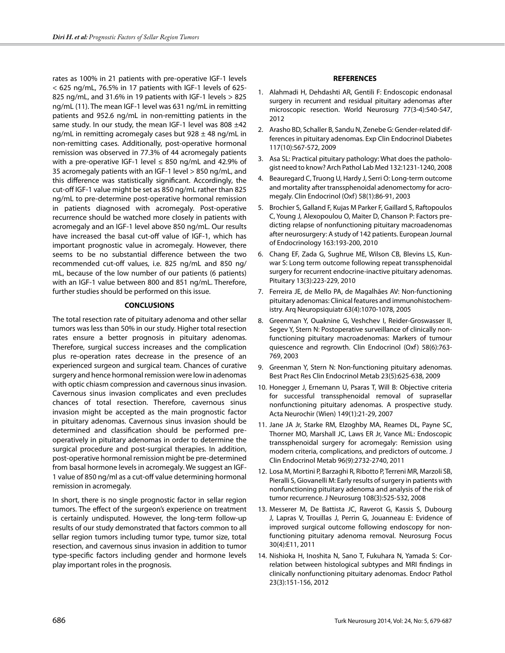rates as 100% in 21 patients with pre-operative IGF-1 levels < 625 ng/mL, 76.5% in 17 patients with IGF-1 levels of 625- 825 ng/mL, and 31.6% in 19 patients with IGF-1 levels > 825 ng/mL (11). The mean IGF-1 level was 631 ng/mL in remitting patients and 952.6 ng/mL in non-remitting patients in the same study. In our study, the mean IGF-1 level was 808  $\pm$ 42 ng/mL in remitting acromegaly cases but  $928 \pm 48$  ng/mL in non-remitting cases. Additionally, post-operative hormonal remission was observed in 77.3% of 44 acromegaly patients with a pre-operative IGF-1 level  $\leq$  850 ng/mL and 42.9% of 35 acromegaly patients with an IGF-1 level > 850 ng/mL, and this difference was statistically significant. Accordingly, the cut-off IGF-1 value might be set as 850 ng/mL rather than 825 ng/mL to pre-determine post-operative hormonal remission in patients diagnosed with acromegaly. Post-operative recurrence should be watched more closely in patients with acromegaly and an IGF-1 level above 850 ng/mL. Our results have increased the basal cut-off value of IGF-1, which has important prognostic value in acromegaly. However, there seems to be no substantial difference between the two recommended cut-off values, i.e. 825 ng/mL and 850 ng/ mL, because of the low number of our patients (6 patients) with an IGF-1 value between 800 and 851 ng/mL. Therefore, further studies should be performed on this issue.

# **CONCLUSIONS**

The total resection rate of pituitary adenoma and other sellar tumors was less than 50% in our study. Higher total resection rates ensure a better prognosis in pituitary adenomas. Therefore, surgical success increases and the complication plus re-operation rates decrease in the presence of an experienced surgeon and surgical team. Chances of curative surgery and hence hormonal remission were low in adenomas with optic chiasm compression and cavernous sinus invasion. Cavernous sinus invasion complicates and even precludes chances of total resection. Therefore, cavernous sinus invasion might be accepted as the main prognostic factor in pituitary adenomas. Cavernous sinus invasion should be determined and classification should be performed preoperatively in pituitary adenomas in order to determine the surgical procedure and post-surgical therapies. In addition, post-operative hormonal remission might be pre-determined from basal hormone levels in acromegaly. We suggest an IGF-1 value of 850 ng/ml as a cut-off value determining hormonal remission in acromegaly.

In short, there is no single prognostic factor in sellar region tumors. The effect of the surgeon's experience on treatment is certainly undisputed. However, the long-term follow-up results of our study demonstrated that factors common to all sellar region tumors including tumor type, tumor size, total resection, and cavernous sinus invasion in addition to tumor type-specific factors including gender and hormone levels play important roles in the prognosis.

# **REFERENCES**

- 1. Alahmadi H, Dehdashti AR, Gentili F: Endoscopic endonasal surgery in recurrent and residual pituitary adenomas after microscopic resection. World Neurosurg 77(3-4):540-547, 2012
- 2. Arasho BD, Schaller B, Sandu N, Zenebe G: Gender-related differences in pituitary adenomas. Exp Clin Endocrinol Diabetes 117(10):567-572, 2009
- 3. Asa SL: Practical pituitary pathology: What does the pathologist need to know? Arch Pathol Lab Med 132:1231-1240, 2008
- 4. Beauregard C, Truong U, Hardy J, Serri O: Long-term outcome and mortality after transsphenoidal adenomectomy for acromegaly. Clin Endocrinol (Oxf) 58(1):86-91, 2003
- 5. Brochier S, Galland F, Kujas M Parker F, Gaillard S, Raftopoulos C, Young J, Alexopoulou O, Maiter D, Chanson P: Factors predicting relapse of nonfunctioning pituitary macroadenomas after neurosurgery: A study of 142 patients. European Journal of Endocrinology 163:193-200, 2010
- 6. Chang EF, Zada G, Sughrue ME, Wilson CB, Blevins LS, Kunwar S: Long term outcome following repeat transsphenoidal surgery for recurrent endocrine-inactive pituitary adenomas. Pituitary 13(3):223-229, 2010
- 7. Ferreira JE, de Mello PA, de Magalhães AV: Non-functioning pituitary adenomas: Clinical features and immunohistochemistry. Arq Neuropsiquiatr 63(4):1070-1078, 2005
- 8. Greenman Y, Ouaknine G, Veshchev I, Reider-Groswasser II, Segev Y, Stern N: Postoperative surveillance of clinically nonfunctioning pituitary macroadenomas: Markers of tumour quiescence and regrowth. Clin Endocrinol (Oxf) 58(6):763- 769, 2003
- 9. Greenman Y, Stern N: Non-functioning pituitary adenomas. Best Pract Res Clin Endocrinol Metab 23(5):625-638, 2009
- 10. Honegger J, Ernemann U, Psaras T, Will B: Objective criteria for successful transsphenoidal removal of suprasellar nonfunctioning pituitary adenomas. A prospective study. Acta Neurochir (Wien) 149(1):21-29, 2007
- 11. Jane JA Jr, Starke RM, Elzoghby MA, Reames DL, Payne SC, Thorner MO, Marshall JC, Laws ER Jr, Vance ML: Endoscopic transsphenoidal surgery for acromegaly: Remission using modern criteria, complications, and predictors of outcome. J Clin Endocrinol Metab 96(9):2732-2740, 2011
- 12. Losa M, Mortini P, Barzaghi R, Ribotto P, Terreni MR, Marzoli SB, Pieralli S, Giovanelli M: Early results of surgery in patients with nonfunctioning pituitary adenoma and analysis of the risk of tumor recurrence. J Neurosurg 108(3):525-532, 2008
- 13. Messerer M, De Battista JC, Raverot G, Kassis S, Dubourg J, Lapras V, Trouillas J, Perrin G, Jouanneau E: Evidence of improved surgical outcome following endoscopy for nonfunctioning pituitary adenoma removal. Neurosurg Focus 30(4):E11, 2011
- 14. Nishioka H, Inoshita N, Sano T, Fukuhara N, Yamada S: Correlation between histological subtypes and MRI findings in clinically nonfunctioning pituitary adenomas. Endocr Pathol 23(3):151-156, 2012